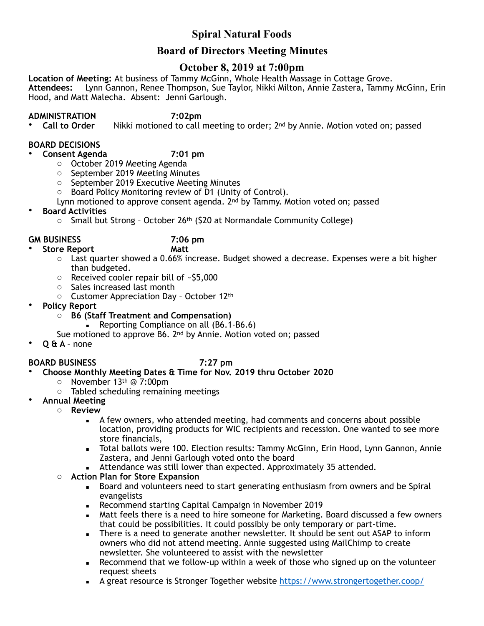# **Spiral Natural Foods**

# **Board of Directors Meeting Minutes**

# **October 8, 2019 at 7:00pm**

**Location of Meeting:** At business of Tammy McGinn, Whole Health Massage in Cottage Grove. **Attendees:** Lynn Gannon, Renee Thompson, Sue Taylor, Nikki Milton, Annie Zastera, Tammy McGinn, Erin Hood, and Matt Malecha. Absent: Jenni Garlough.

**ADMINISTRATION** 7:02pm<br>Call to Order Nikki motioned to call i Nikki motioned to call meeting to order; 2<sup>nd</sup> by Annie. Motion voted on; passed

### **BOARD DECISIONS**

### • **Consent Agenda 7:01 pm**

- o October 2019 Meeting Agenda
- o September 2019 Meeting Minutes
- o September 2019 Executive Meeting Minutes
- o Board Policy Monitoring review of D1 (Unity of Control).
- Lynn motioned to approve consent agenda. 2nd by Tammy. Motion voted on; passed
- **Board Activities**
	- $\circ$  Small but Strong October 26<sup>th</sup> (\$20 at Normandale Community College)

### **GM BUSINESS 7:06 pm**

- **Store Report Matt** 
	- $\circ$  Last quarter showed a 0.66% increase. Budget showed a decrease. Expenses were a bit higher than budgeted.
	- o Received cooler repair bill of ~\$5,000
	- o Sales increased last month
	- o Customer Appreciation Day October 12th
- **Policy Report**
	- o **B6 (Staff Treatment and Compensation)** 
		- **Reporting Compliance on all (B6.1-B6.6)**
	- Sue motioned to approve B6. 2nd by Annie. Motion voted on; passed
- **Q & A**  none

### **BOARD BUSINESS 7:27 pm**

- **Choose Monthly Meeting Dates & Time for Nov. 2019 thru October 2020** 
	- $\circ$  November 13<sup>th</sup> @ 7:00pm
	- o Tabled scheduling remaining meetings
- **Annual Meeting** 
	- o **Review**
		- A few owners, who attended meeting, had comments and concerns about possible location, providing products for WIC recipients and recession. One wanted to see more store financials,
		- Total ballots were 100. Election results: Tammy McGinn, Erin Hood, Lynn Gannon, Annie Zastera, and Jenni Garlough voted onto the board
		- **EXECTED Attendance was still lower than expected. Approximately 35 attended.**
		- o **Action Plan for Store Expansion**
			- **EXECT** Board and volunteers need to start generating enthusiasm from owners and be Spiral evangelists
			- Recommend starting Capital Campaign in November 2019
			- Matt feels there is a need to hire someone for Marketing. Board discussed a few owners that could be possibilities. It could possibly be only temporary or part-time.
			- **EXECT** There is a need to generate another newsletter. It should be sent out ASAP to inform owners who did not attend meeting. Annie suggested using MailChimp to create newsletter. She volunteered to assist with the newsletter
			- **EXECOMMEND EXECOMMENT IS RET** Recommend that we follow-up within a week of those who signed up on the volunteer request sheets
			- A great resource is Stronger Together website <https://www.strongertogether.coop/>